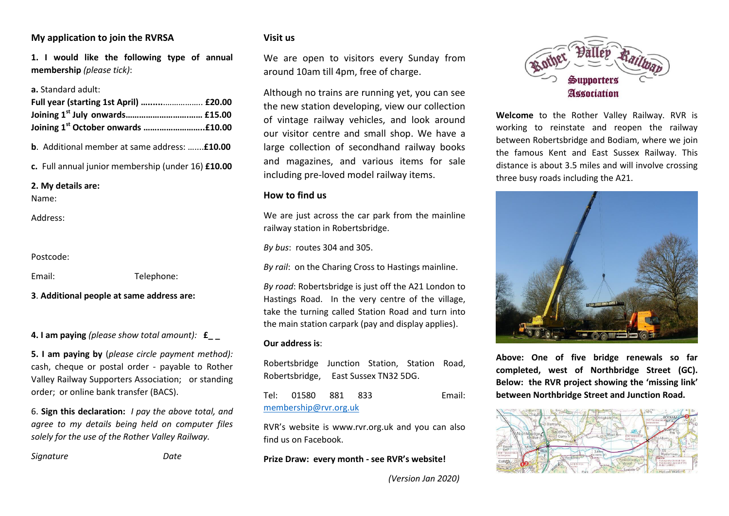# **My application to join the RVRSA**

**1. I would like the following type of annual membership** *(please tick)*:

#### **a.** Standard adult:

| Full year (starting 1st April)  £20.00 |  |
|----------------------------------------|--|
|                                        |  |
|                                        |  |

**b**. Additional member at same address: …....**£10.00** 

**c.** Full annual junior membership (under 16) **£10.00** 

**2. My details are:** 

Name:

Address:

Postcode:

Email: Telephone:

**3**. **Additional people at same address are:**

**4. I am paying** *(please show total amount):* **£\_ \_**

**5. I am paying by** (*please circle payment method):* cash, cheque or postal order - payable to Rother Valley Railway Supporters Association; or standing order; or online bank transfer (BACS).

6. **Sign this declaration:** *I pay the above total, and agree to my details being held on computer files solely for the use of the Rother Valley Railway.* 

*Signature Date* 

#### **Visit us**

We are open to visitors every Sunday from around 10am till 4pm, free of charge.

Although no trains are running yet, you can see the new station developing, view our collection of vintage railway vehicles, and look around our visitor centre and small shop. We have a large collection of secondhand railway books and magazines, and various items for sale including pre-loved model railway items.

## **How to find us**

We are just across the car park from the mainline railway station in Robertsbridge.

*By bus*: routes 304 and 305.

*By rail*: on the Charing Cross to Hastings mainline.

*By road*: Robertsbridge is just off the A21 London to Hastings Road. In the very centre of the village, take the turning called Station Road and turn into the main station carpark (pay and display applies).

## **Our address is**:



Tel: 01580 881 833 Email: [membership@rvr.org.uk](mailto:membership@rvr.org.uk) 

RVR's website is www.rvr.org.uk and you can also find us on Facebook.

**Prize Draw: every month - see RVR's website!** 



**Welcome** to the Rother Valley Railway. RVR is working to reinstate and reopen the railway between Robertsbridge and Bodiam, where we join the famous Kent and East Sussex Railway. This distance is about 3.5 miles and will involve crossing three busy roads including the A21.



**Above: One of five bridge renewals so far completed, west of Northbridge Street (GC). Below: the RVR project showing the 'missing link' between Northbridge Street and Junction Road.** 



 *(Version Jan 2020)*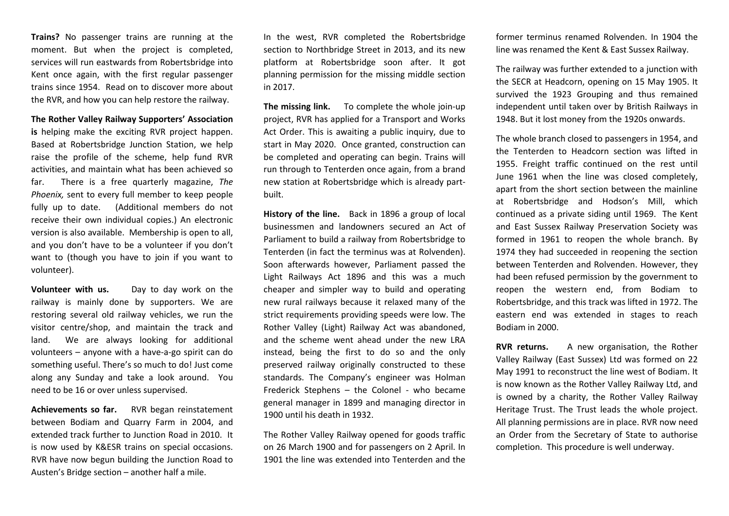**Trains?** No passenger trains are running at the moment. But when the project is completed, services will run eastwards from Robertsbridge into Kent once again, with the first regular passenger trains since 1954. Read on to discover more about the RVR, and how you can help restore the railway.

#### **The Rother Valley Railway Supporters' Association**

**is** helping make the exciting RVR project happen. Based at Robertsbridge Junction Station, we help raise the profile of the scheme, help fund RVR activities, and maintain what has been achieved so far. There is a free quarterly magazine, *The Phoenix,* sent to every full member to keep people fully up to date. (Additional members do not receive their own individual copies.) An electronic version is also available. Membership is open to all, and you don't have to be a volunteer if you don't want to (though you have to join if you want to volunteer).

**Volunteer with us.** Day to day work on the railway is mainly done by supporters. We are restoring several old railway vehicles, we run the visitor centre/shop, and maintain the track and land. We are always looking for additional volunteers – anyone with a have-a-go spirit can do something useful. There's so much to do! Just come along any Sunday and take a look around. You need to be 16 or over unless supervised.

**Achievements so far.** RVR began reinstatement between Bodiam and Quarry Farm in 2004, and extended track further to Junction Road in 2010. It is now used by K&ESR trains on special occasions. RVR have now begun building the Junction Road to Austen's Bridge section – another half a mile.

In the west, RVR completed the Robertsbridge section to Northbridge Street in 2013, and its new platform at Robertsbridge soon after. It got planning permission for the missing middle section in 2017.

**The missing link.** To complete the whole join-up project, RVR has applied for a Transport and Works Act Order. This is awaiting a public inquiry, due to start in May 2020. Once granted, construction can be completed and operating can begin. Trains will run through to Tenterden once again, from a brand new station at Robertsbridge which is already partbuilt.

**History of the line.** Back in 1896 a group of local businessmen and landowners secured an Act of Parliament to build a railway from Robertsbridge to Tenterden (in fact the terminus was at Rolvenden). Soon afterwards however, Parliament passed the Light Railways Act 1896 and this was a much cheaper and simpler way to build and operating new rural railways because it relaxed many of the strict requirements providing speeds were low. The Rother Valley (Light) Railway Act was abandoned, and the scheme went ahead under the new LRA instead, being the first to do so and the only preserved railway originally constructed to these standards. The Company's engineer was Holman Frederick Stephens – the Colonel - who became general manager in 1899 and managing director in 1900 until his death in 1932.

The Rother Valley Railway opened for goods traffic on 26 March 1900 and for passengers on 2 April. In 1901 the line was extended into Tenterden and the former terminus renamed Rolvenden. In 1904 the line was renamed the Kent & East Sussex Railway.

The railway was further extended to a junction with the SECR at Headcorn, opening on 15 May 1905. It survived the 1923 Grouping and thus remained independent until taken over by British Railways in 1948. But it lost money from the 1920s onwards.

The whole branch closed to passengers in 1954, and the Tenterden to Headcorn section was lifted in 1955. Freight traffic continued on the rest until June 1961 when the line was closed completely, apart from the short section between the mainline at Robertsbridge and Hodson's Mill, which continued as a private siding until 1969. The Kent and East Sussex Railway Preservation Society was formed in 1961 to reopen the whole branch. By 1974 they had succeeded in reopening the section between Tenterden and Rolvenden. However, they had been refused permission by the government to reopen the western end, from Bodiam to Robertsbridge, and this track was lifted in 1972. The eastern end was extended in stages to reach Bodiam in 2000.

**RVR returns.** A new organisation, the Rother Valley Railway (East Sussex) Ltd was formed on 22 May 1991 to reconstruct the line west of Bodiam. It is now known as the Rother Valley Railway Ltd, and is owned by a charity, the Rother Valley Railway Heritage Trust. The Trust leads the whole project. All planning permissions are in place. RVR now need an Order from the Secretary of State to authorise completion. This procedure is well underway.